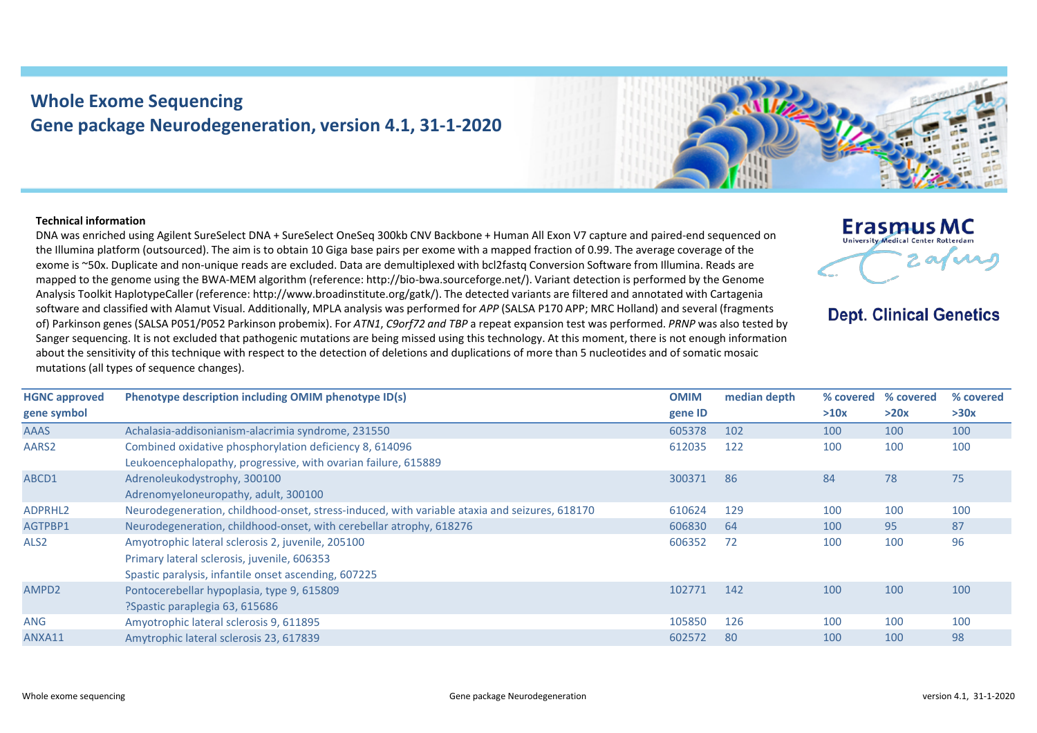## **Whole Exome Sequencing Gene package Neurodegeneration, version 4.1, 31-1-2020**



## **Technical information**

DNA was enriched using Agilent SureSelect DNA + SureSelect OneSeq 300kb CNV Backbone + Human All Exon V7 capture and paired-end sequenced on the Illumina platform (outsourced). The aim is to obtain 10 Giga base pairs per exome with a mapped fraction of 0.99. The average coverage of the exome is ~50x. Duplicate and non-unique reads are excluded. Data are demultiplexed with bcl2fastq Conversion Software from Illumina. Reads are mapped to the genome using the BWA-MEM algorithm (reference: http://bio-bwa.sourceforge.net/). Variant detection is performed by the Genome Analysis Toolkit HaplotypeCaller (reference: http://www.broadinstitute.org/gatk/). The detected variants are filtered and annotated with Cartagenia software and classified with Alamut Visual. Additionally, MPLA analysis was performed for *APP* (SALSA P170 APP; MRC Holland) and several (fragments of) Parkinson genes (SALSA P051/P052 Parkinson probemix). For *ATN1*, *C9orf72 and TBP* a repeat expansion test was performed. *PRNP* was also tested by Sanger sequencing. It is not excluded that pathogenic mutations are being missed using this technology. At this moment, there is not enough information about the sensitivity of this technique with respect to the detection of deletions and duplications of more than 5 nucleotides and of somatic mosaic mutations (all types of sequence changes).



**Dept. Clinical Genetics** 

| <b>HGNC approved</b> | Phenotype description including OMIM phenotype ID(s)                                          | <b>OMIM</b> | median depth | % covered | % covered | % covered |
|----------------------|-----------------------------------------------------------------------------------------------|-------------|--------------|-----------|-----------|-----------|
| gene symbol          |                                                                                               | gene ID     |              | >10x      | >20x      | >30x      |
| <b>AAAS</b>          | Achalasia-addisonianism-alacrimia syndrome, 231550                                            | 605378      | 102          | 100       | 100       | 100       |
| AARS2                | Combined oxidative phosphorylation deficiency 8, 614096                                       | 612035      | 122          | 100       | 100       | 100       |
|                      | Leukoencephalopathy, progressive, with ovarian failure, 615889                                |             |              |           |           |           |
| ABCD1                | Adrenoleukodystrophy, 300100                                                                  | 300371      | 86           | 84        | 78        | 75        |
|                      | Adrenomyeloneuropathy, adult, 300100                                                          |             |              |           |           |           |
| ADPRHL <sub>2</sub>  | Neurodegeneration, childhood-onset, stress-induced, with variable ataxia and seizures, 618170 | 610624      | 129          | 100       | 100       | 100       |
| AGTPBP1              | Neurodegeneration, childhood-onset, with cerebellar atrophy, 618276                           | 606830      | -64          | 100       | 95        | 87        |
| ALS <sub>2</sub>     | Amyotrophic lateral sclerosis 2, juvenile, 205100                                             | 606352      | 72           | 100       | 100       | 96        |
|                      | Primary lateral sclerosis, juvenile, 606353                                                   |             |              |           |           |           |
|                      | Spastic paralysis, infantile onset ascending, 607225                                          |             |              |           |           |           |
| AMPD <sub>2</sub>    | Pontocerebellar hypoplasia, type 9, 615809                                                    | 102771      | 142          | 100       | 100       | 100       |
|                      | ?Spastic paraplegia 63, 615686                                                                |             |              |           |           |           |
| <b>ANG</b>           | Amyotrophic lateral sclerosis 9, 611895                                                       | 105850      | 126          | 100       | 100       | 100       |
| ANXA11               | Amytrophic lateral sclerosis 23, 617839                                                       | 602572      | 80           | 100       | 100       | 98        |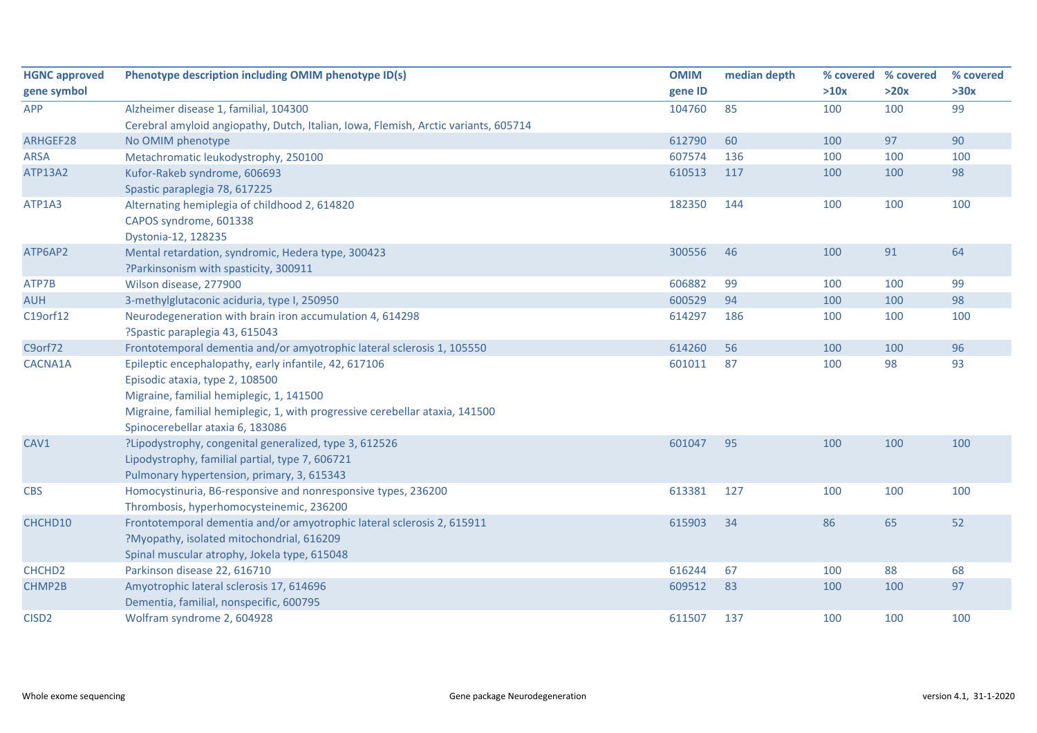| <b>HGNC approved</b> | Phenotype description including OMIM phenotype ID(s)                                | <b>OMIM</b> | median depth |      | % covered % covered | % covered |
|----------------------|-------------------------------------------------------------------------------------|-------------|--------------|------|---------------------|-----------|
| gene symbol          |                                                                                     | gene ID     |              | >10x | >20x                | >30x      |
| <b>APP</b>           | Alzheimer disease 1, familial, 104300                                               | 104760      | 85           | 100  | 100                 | 99        |
|                      | Cerebral amyloid angiopathy, Dutch, Italian, Iowa, Flemish, Arctic variants, 605714 |             |              |      |                     |           |
| ARHGEF28             | No OMIM phenotype                                                                   | 612790      | 60           | 100  | 97                  | 90        |
| <b>ARSA</b>          | Metachromatic leukodystrophy, 250100                                                | 607574      | 136          | 100  | 100                 | 100       |
| <b>ATP13A2</b>       | Kufor-Rakeb syndrome, 606693                                                        | 610513      | 117          | 100  | 100                 | 98        |
|                      | Spastic paraplegia 78, 617225                                                       |             |              |      |                     |           |
| ATP1A3               | Alternating hemiplegia of childhood 2, 614820                                       | 182350      | 144          | 100  | 100                 | 100       |
|                      | CAPOS syndrome, 601338                                                              |             |              |      |                     |           |
|                      | Dystonia-12, 128235                                                                 |             |              |      |                     |           |
| ATP6AP2              | Mental retardation, syndromic, Hedera type, 300423                                  | 300556      | 46           | 100  | 91                  | 64        |
|                      | ?Parkinsonism with spasticity, 300911                                               |             |              |      |                     |           |
| ATP7B                | Wilson disease, 277900                                                              | 606882      | 99           | 100  | 100                 | 99        |
| <b>AUH</b>           | 3-methylglutaconic aciduria, type I, 250950                                         | 600529      | 94           | 100  | 100                 | 98        |
| C19orf12             | Neurodegeneration with brain iron accumulation 4, 614298                            | 614297      | 186          | 100  | 100                 | 100       |
|                      | ?Spastic paraplegia 43, 615043                                                      |             |              |      |                     |           |
| C9orf72              | Frontotemporal dementia and/or amyotrophic lateral sclerosis 1, 105550              | 614260      | 56           | 100  | 100                 | 96        |
| CACNA1A              | Epileptic encephalopathy, early infantile, 42, 617106                               | 601011      | 87           | 100  | 98                  | 93        |
|                      | Episodic ataxia, type 2, 108500                                                     |             |              |      |                     |           |
|                      | Migraine, familial hemiplegic, 1, 141500                                            |             |              |      |                     |           |
|                      | Migraine, familial hemiplegic, 1, with progressive cerebellar ataxia, 141500        |             |              |      |                     |           |
|                      | Spinocerebellar ataxia 6, 183086                                                    |             |              |      |                     |           |
| CAV1                 | ?Lipodystrophy, congenital generalized, type 3, 612526                              | 601047      | 95           | 100  | 100                 | 100       |
|                      | Lipodystrophy, familial partial, type 7, 606721                                     |             |              |      |                     |           |
|                      | Pulmonary hypertension, primary, 3, 615343                                          |             |              |      |                     |           |
| <b>CBS</b>           | Homocystinuria, B6-responsive and nonresponsive types, 236200                       | 613381      | 127          | 100  | 100                 | 100       |
|                      | Thrombosis, hyperhomocysteinemic, 236200                                            |             |              |      |                     |           |
| CHCHD10              | Frontotemporal dementia and/or amyotrophic lateral sclerosis 2, 615911              | 615903      | 34           | 86   | 65                  | 52        |
|                      | ?Myopathy, isolated mitochondrial, 616209                                           |             |              |      |                     |           |
|                      | Spinal muscular atrophy, Jokela type, 615048                                        |             |              |      |                     |           |
| CHCHD <sub>2</sub>   | Parkinson disease 22, 616710                                                        | 616244      | 67           | 100  | 88                  | 68        |
| CHMP2B               | Amyotrophic lateral sclerosis 17, 614696                                            | 609512      | 83           | 100  | 100                 | 97        |
|                      | Dementia, familial, nonspecific, 600795                                             |             |              |      |                     |           |
| CISD <sub>2</sub>    | Wolfram syndrome 2, 604928                                                          | 611507      | 137          | 100  | 100                 | 100       |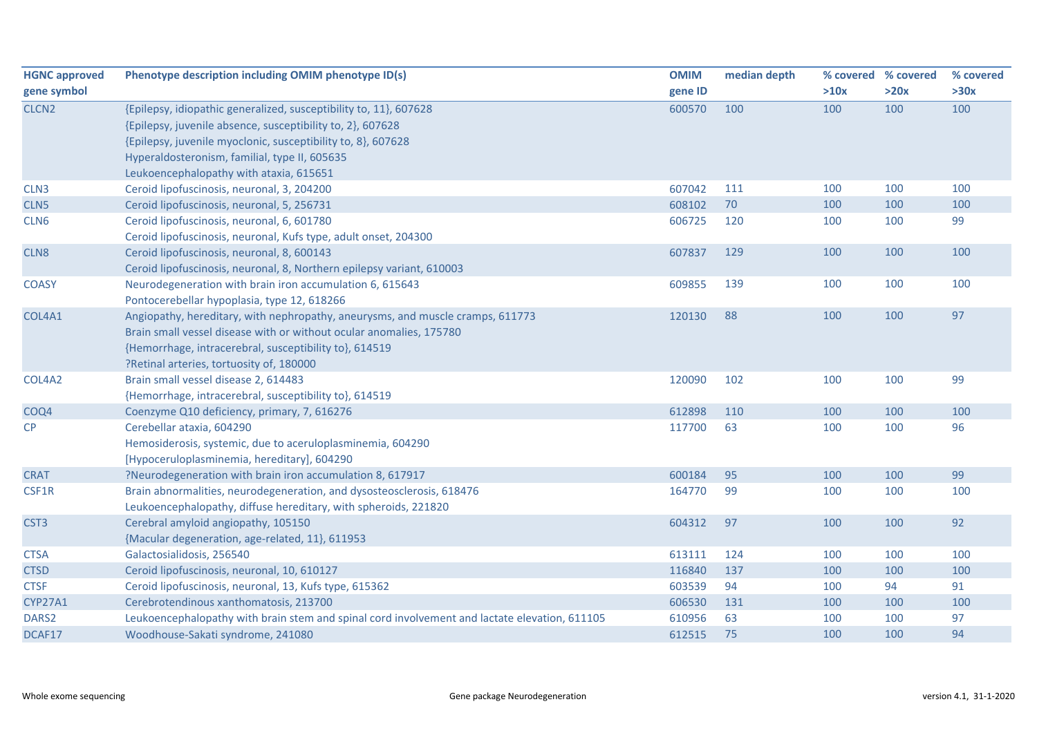| <b>HGNC approved</b>                                                                                           | Phenotype description including OMIM phenotype ID(s)                                                                                                                                                                                                                                                                                                                                                                                                                            | <b>OMIM</b>                                                        | median depth                              |                                               | % covered % covered                          | % covered                                 |
|----------------------------------------------------------------------------------------------------------------|---------------------------------------------------------------------------------------------------------------------------------------------------------------------------------------------------------------------------------------------------------------------------------------------------------------------------------------------------------------------------------------------------------------------------------------------------------------------------------|--------------------------------------------------------------------|-------------------------------------------|-----------------------------------------------|----------------------------------------------|-------------------------------------------|
| gene symbol                                                                                                    |                                                                                                                                                                                                                                                                                                                                                                                                                                                                                 | gene ID                                                            |                                           | >10x                                          | >20x                                         | >30x                                      |
| CLCN <sub>2</sub>                                                                                              | {Epilepsy, idiopathic generalized, susceptibility to, 11}, 607628<br>{Epilepsy, juvenile absence, susceptibility to, 2}, 607628                                                                                                                                                                                                                                                                                                                                                 | 600570                                                             | 100                                       | 100                                           | 100                                          | 100                                       |
|                                                                                                                | {Epilepsy, juvenile myoclonic, susceptibility to, 8}, 607628                                                                                                                                                                                                                                                                                                                                                                                                                    |                                                                    |                                           |                                               |                                              |                                           |
|                                                                                                                | Hyperaldosteronism, familial, type II, 605635                                                                                                                                                                                                                                                                                                                                                                                                                                   |                                                                    |                                           |                                               |                                              |                                           |
|                                                                                                                | Leukoencephalopathy with ataxia, 615651                                                                                                                                                                                                                                                                                                                                                                                                                                         |                                                                    |                                           |                                               |                                              |                                           |
| CLN <sub>3</sub>                                                                                               | Ceroid lipofuscinosis, neuronal, 3, 204200                                                                                                                                                                                                                                                                                                                                                                                                                                      | 607042                                                             | 111                                       | 100                                           | 100                                          | 100                                       |
| CLN <sub>5</sub>                                                                                               | Ceroid lipofuscinosis, neuronal, 5, 256731                                                                                                                                                                                                                                                                                                                                                                                                                                      | 608102                                                             | 70                                        | 100                                           | 100                                          | 100                                       |
| CLN6                                                                                                           | Ceroid lipofuscinosis, neuronal, 6, 601780                                                                                                                                                                                                                                                                                                                                                                                                                                      | 606725                                                             | 120                                       | 100                                           | 100                                          | 99                                        |
|                                                                                                                | Ceroid lipofuscinosis, neuronal, Kufs type, adult onset, 204300                                                                                                                                                                                                                                                                                                                                                                                                                 |                                                                    |                                           |                                               |                                              |                                           |
| CLN8                                                                                                           | Ceroid lipofuscinosis, neuronal, 8, 600143                                                                                                                                                                                                                                                                                                                                                                                                                                      | 607837                                                             | 129                                       | 100                                           | 100                                          | 100                                       |
|                                                                                                                | Ceroid lipofuscinosis, neuronal, 8, Northern epilepsy variant, 610003                                                                                                                                                                                                                                                                                                                                                                                                           |                                                                    |                                           |                                               |                                              |                                           |
| <b>COASY</b>                                                                                                   | Neurodegeneration with brain iron accumulation 6, 615643                                                                                                                                                                                                                                                                                                                                                                                                                        | 609855                                                             | 139                                       | 100                                           | 100                                          | 100                                       |
|                                                                                                                | Pontocerebellar hypoplasia, type 12, 618266                                                                                                                                                                                                                                                                                                                                                                                                                                     |                                                                    |                                           |                                               |                                              |                                           |
| COL4A1                                                                                                         | Angiopathy, hereditary, with nephropathy, aneurysms, and muscle cramps, 611773                                                                                                                                                                                                                                                                                                                                                                                                  | 120130                                                             | 88                                        | 100                                           | 100                                          | 97                                        |
|                                                                                                                | Brain small vessel disease with or without ocular anomalies, 175780                                                                                                                                                                                                                                                                                                                                                                                                             |                                                                    |                                           |                                               |                                              |                                           |
|                                                                                                                | {Hemorrhage, intracerebral, susceptibility to}, 614519                                                                                                                                                                                                                                                                                                                                                                                                                          |                                                                    |                                           |                                               |                                              |                                           |
|                                                                                                                | ?Retinal arteries, tortuosity of, 180000                                                                                                                                                                                                                                                                                                                                                                                                                                        |                                                                    |                                           |                                               |                                              |                                           |
| COL4A2                                                                                                         | Brain small vessel disease 2, 614483                                                                                                                                                                                                                                                                                                                                                                                                                                            | 120090                                                             | 102                                       | 100                                           | 100                                          | 99                                        |
|                                                                                                                | {Hemorrhage, intracerebral, susceptibility to}, 614519                                                                                                                                                                                                                                                                                                                                                                                                                          |                                                                    |                                           |                                               |                                              |                                           |
| COQ4                                                                                                           | Coenzyme Q10 deficiency, primary, 7, 616276                                                                                                                                                                                                                                                                                                                                                                                                                                     | 612898                                                             | 110                                       | 100                                           | 100                                          | 100                                       |
| CP                                                                                                             | Cerebellar ataxia, 604290                                                                                                                                                                                                                                                                                                                                                                                                                                                       | 117700                                                             | 63                                        | 100                                           | 100                                          | 96                                        |
|                                                                                                                | Hemosiderosis, systemic, due to aceruloplasminemia, 604290                                                                                                                                                                                                                                                                                                                                                                                                                      |                                                                    |                                           |                                               |                                              |                                           |
|                                                                                                                | [Hypoceruloplasminemia, hereditary], 604290                                                                                                                                                                                                                                                                                                                                                                                                                                     |                                                                    |                                           |                                               |                                              |                                           |
| <b>CRAT</b>                                                                                                    | ?Neurodegeneration with brain iron accumulation 8, 617917                                                                                                                                                                                                                                                                                                                                                                                                                       | 600184                                                             | 95                                        | 100                                           | 100                                          | 99                                        |
| CSF1R                                                                                                          | Brain abnormalities, neurodegeneration, and dysosteosclerosis, 618476                                                                                                                                                                                                                                                                                                                                                                                                           | 164770                                                             | 99                                        | 100                                           | 100                                          | 100                                       |
|                                                                                                                |                                                                                                                                                                                                                                                                                                                                                                                                                                                                                 |                                                                    |                                           |                                               |                                              |                                           |
|                                                                                                                |                                                                                                                                                                                                                                                                                                                                                                                                                                                                                 |                                                                    |                                           |                                               |                                              |                                           |
|                                                                                                                |                                                                                                                                                                                                                                                                                                                                                                                                                                                                                 |                                                                    |                                           |                                               |                                              |                                           |
|                                                                                                                |                                                                                                                                                                                                                                                                                                                                                                                                                                                                                 |                                                                    |                                           |                                               |                                              |                                           |
|                                                                                                                |                                                                                                                                                                                                                                                                                                                                                                                                                                                                                 |                                                                    |                                           |                                               |                                              |                                           |
|                                                                                                                |                                                                                                                                                                                                                                                                                                                                                                                                                                                                                 |                                                                    |                                           |                                               |                                              |                                           |
|                                                                                                                |                                                                                                                                                                                                                                                                                                                                                                                                                                                                                 |                                                                    |                                           |                                               |                                              |                                           |
|                                                                                                                |                                                                                                                                                                                                                                                                                                                                                                                                                                                                                 |                                                                    |                                           |                                               |                                              |                                           |
| CST <sub>3</sub><br><b>CTSA</b><br><b>CTSD</b><br><b>CTSF</b><br><b>CYP27A1</b><br>DARS <sub>2</sub><br>DCAF17 | Leukoencephalopathy, diffuse hereditary, with spheroids, 221820<br>Cerebral amyloid angiopathy, 105150<br>{Macular degeneration, age-related, 11}, 611953<br>Galactosialidosis, 256540<br>Ceroid lipofuscinosis, neuronal, 10, 610127<br>Ceroid lipofuscinosis, neuronal, 13, Kufs type, 615362<br>Cerebrotendinous xanthomatosis, 213700<br>Leukoencephalopathy with brain stem and spinal cord involvement and lactate elevation, 611105<br>Woodhouse-Sakati syndrome, 241080 | 604312<br>613111<br>116840<br>603539<br>606530<br>610956<br>612515 | 97<br>124<br>137<br>94<br>131<br>63<br>75 | 100<br>100<br>100<br>100<br>100<br>100<br>100 | 100<br>100<br>100<br>94<br>100<br>100<br>100 | 92<br>100<br>100<br>91<br>100<br>97<br>94 |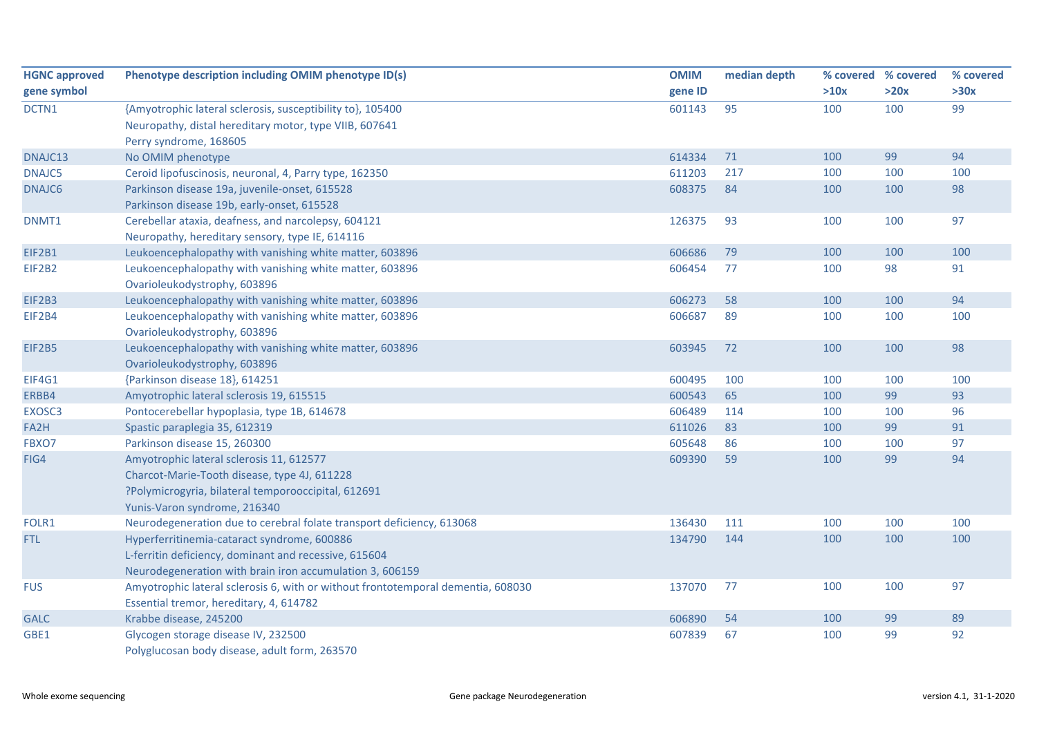| <b>HGNC approved</b> | Phenotype description including OMIM phenotype ID(s)                             | <b>OMIM</b> | median depth |      | % covered % covered | % covered |
|----------------------|----------------------------------------------------------------------------------|-------------|--------------|------|---------------------|-----------|
| gene symbol          |                                                                                  | gene ID     |              | >10x | >20x                | >30x      |
| DCTN1                | {Amyotrophic lateral sclerosis, susceptibility to}, 105400                       | 601143      | 95           | 100  | 100                 | 99        |
|                      | Neuropathy, distal hereditary motor, type VIIB, 607641                           |             |              |      |                     |           |
|                      | Perry syndrome, 168605                                                           |             |              |      |                     |           |
| DNAJC13              | No OMIM phenotype                                                                | 614334      | 71           | 100  | 99                  | 94        |
| DNAJC5               | Ceroid lipofuscinosis, neuronal, 4, Parry type, 162350                           | 611203      | 217          | 100  | 100                 | 100       |
| DNAJC6               | Parkinson disease 19a, juvenile-onset, 615528                                    | 608375      | 84           | 100  | 100                 | 98        |
|                      | Parkinson disease 19b, early-onset, 615528                                       |             |              |      |                     |           |
| DNMT1                | Cerebellar ataxia, deafness, and narcolepsy, 604121                              | 126375      | 93           | 100  | 100                 | 97        |
|                      | Neuropathy, hereditary sensory, type IE, 614116                                  |             |              |      |                     |           |
| EIF2B1               | Leukoencephalopathy with vanishing white matter, 603896                          | 606686      | 79           | 100  | 100                 | 100       |
| EIF2B2               | Leukoencephalopathy with vanishing white matter, 603896                          | 606454      | 77           | 100  | 98                  | 91        |
|                      | Ovarioleukodystrophy, 603896                                                     |             |              |      |                     |           |
| EIF2B3               | Leukoencephalopathy with vanishing white matter, 603896                          | 606273      | 58           | 100  | 100                 | 94        |
| EIF2B4               | Leukoencephalopathy with vanishing white matter, 603896                          | 606687      | 89           | 100  | 100                 | 100       |
|                      | Ovarioleukodystrophy, 603896                                                     |             |              |      |                     |           |
| EIF2B5               | Leukoencephalopathy with vanishing white matter, 603896                          | 603945      | 72           | 100  | 100                 | 98        |
|                      | Ovarioleukodystrophy, 603896                                                     |             |              |      |                     |           |
| <b>EIF4G1</b>        | {Parkinson disease 18}, 614251                                                   | 600495      | 100          | 100  | 100                 | 100       |
| ERBB4                | Amyotrophic lateral sclerosis 19, 615515                                         | 600543      | 65           | 100  | 99                  | 93        |
| EXOSC3               | Pontocerebellar hypoplasia, type 1B, 614678                                      | 606489      | 114          | 100  | 100                 | 96        |
| FA2H                 | Spastic paraplegia 35, 612319                                                    | 611026      | 83           | 100  | 99                  | 91        |
| FBXO7                | Parkinson disease 15, 260300                                                     | 605648      | 86           | 100  | 100                 | 97        |
| FIG4                 | Amyotrophic lateral sclerosis 11, 612577                                         | 609390      | 59           | 100  | 99                  | 94        |
|                      | Charcot-Marie-Tooth disease, type 4J, 611228                                     |             |              |      |                     |           |
|                      | ?Polymicrogyria, bilateral temporooccipital, 612691                              |             |              |      |                     |           |
|                      | Yunis-Varon syndrome, 216340                                                     |             |              |      |                     |           |
| FOLR1                | Neurodegeneration due to cerebral folate transport deficiency, 613068            | 136430      | 111          | 100  | 100                 | 100       |
| FTL.                 | Hyperferritinemia-cataract syndrome, 600886                                      | 134790      | 144          | 100  | 100                 | 100       |
|                      | L-ferritin deficiency, dominant and recessive, 615604                            |             |              |      |                     |           |
|                      | Neurodegeneration with brain iron accumulation 3, 606159                         |             |              |      |                     |           |
| <b>FUS</b>           | Amyotrophic lateral sclerosis 6, with or without frontotemporal dementia, 608030 | 137070      | 77           | 100  | 100                 | 97        |
|                      | Essential tremor, hereditary, 4, 614782                                          |             |              |      |                     |           |
| <b>GALC</b>          | Krabbe disease, 245200                                                           | 606890      | 54           | 100  | 99                  | 89        |
| GBE1                 | Glycogen storage disease IV, 232500                                              | 607839      | 67           | 100  | 99                  | 92        |
|                      | Polyglucosan body disease, adult form, 263570                                    |             |              |      |                     |           |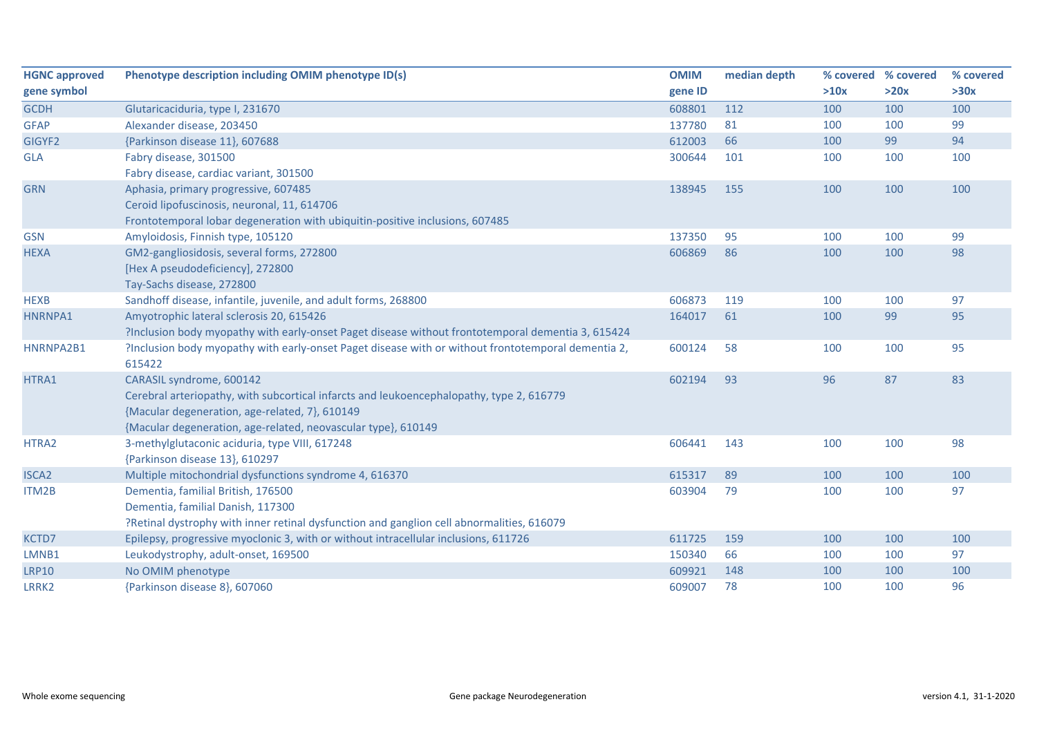| <b>HGNC approved</b> | Phenotype description including OMIM phenotype ID(s)                                               | <b>OMIM</b> | median depth | % covered | % covered | % covered |
|----------------------|----------------------------------------------------------------------------------------------------|-------------|--------------|-----------|-----------|-----------|
| gene symbol          |                                                                                                    | gene ID     |              | >10x      | >20x      | >30x      |
| <b>GCDH</b>          | Glutaricaciduria, type I, 231670                                                                   | 608801      | 112          | 100       | 100       | 100       |
| <b>GFAP</b>          | Alexander disease, 203450                                                                          | 137780      | 81           | 100       | 100       | 99        |
| GIGYF2               | {Parkinson disease 11}, 607688                                                                     | 612003      | 66           | 100       | 99        | 94        |
| <b>GLA</b>           | Fabry disease, 301500                                                                              | 300644      | 101          | 100       | 100       | 100       |
|                      | Fabry disease, cardiac variant, 301500                                                             |             |              |           |           |           |
| <b>GRN</b>           | Aphasia, primary progressive, 607485                                                               | 138945      | 155          | 100       | 100       | 100       |
|                      | Ceroid lipofuscinosis, neuronal, 11, 614706                                                        |             |              |           |           |           |
|                      | Frontotemporal lobar degeneration with ubiquitin-positive inclusions, 607485                       |             |              |           |           |           |
| <b>GSN</b>           | Amyloidosis, Finnish type, 105120                                                                  | 137350      | 95           | 100       | 100       | 99        |
| <b>HEXA</b>          | GM2-gangliosidosis, several forms, 272800                                                          | 606869      | 86           | 100       | 100       | 98        |
|                      | [Hex A pseudodeficiency], 272800                                                                   |             |              |           |           |           |
|                      | Tay-Sachs disease, 272800                                                                          |             |              |           |           |           |
| <b>HEXB</b>          | Sandhoff disease, infantile, juvenile, and adult forms, 268800                                     | 606873      | 119          | 100       | 100       | 97        |
| HNRNPA1              | Amyotrophic lateral sclerosis 20, 615426                                                           | 164017      | 61           | 100       | 99        | 95        |
|                      | ?Inclusion body myopathy with early-onset Paget disease without frontotemporal dementia 3, 615424  |             |              |           |           |           |
| HNRNPA2B1            | ?Inclusion body myopathy with early-onset Paget disease with or without frontotemporal dementia 2, | 600124      | 58           | 100       | 100       | 95        |
|                      | 615422                                                                                             |             |              |           |           |           |
| HTRA1                | CARASIL syndrome, 600142                                                                           | 602194      | 93           | 96        | 87        | 83        |
|                      | Cerebral arteriopathy, with subcortical infarcts and leukoencephalopathy, type 2, 616779           |             |              |           |           |           |
|                      | {Macular degeneration, age-related, 7}, 610149                                                     |             |              |           |           |           |
|                      | {Macular degeneration, age-related, neovascular type}, 610149                                      |             |              |           |           |           |
| HTRA2                | 3-methylglutaconic aciduria, type VIII, 617248                                                     | 606441      | 143          | 100       | 100       | 98        |
|                      | {Parkinson disease 13}, 610297                                                                     |             |              |           |           |           |
| <b>ISCA2</b>         | Multiple mitochondrial dysfunctions syndrome 4, 616370                                             | 615317      | 89           | 100       | 100       | 100       |
| ITM2B                | Dementia, familial British, 176500                                                                 | 603904      | 79           | 100       | 100       | 97        |
|                      | Dementia, familial Danish, 117300                                                                  |             |              |           |           |           |
|                      | ?Retinal dystrophy with inner retinal dysfunction and ganglion cell abnormalities, 616079          |             |              |           |           |           |
| KCTD7                | Epilepsy, progressive myoclonic 3, with or without intracellular inclusions, 611726                | 611725      | 159          | 100       | 100       | 100       |
| LMNB1                | Leukodystrophy, adult-onset, 169500                                                                | 150340      | 66           | 100       | 100       | 97        |
| <b>LRP10</b>         | No OMIM phenotype                                                                                  | 609921      | 148          | 100       | 100       | 100       |
| LRRK2                | {Parkinson disease 8}, 607060                                                                      | 609007      | 78           | 100       | 100       | 96        |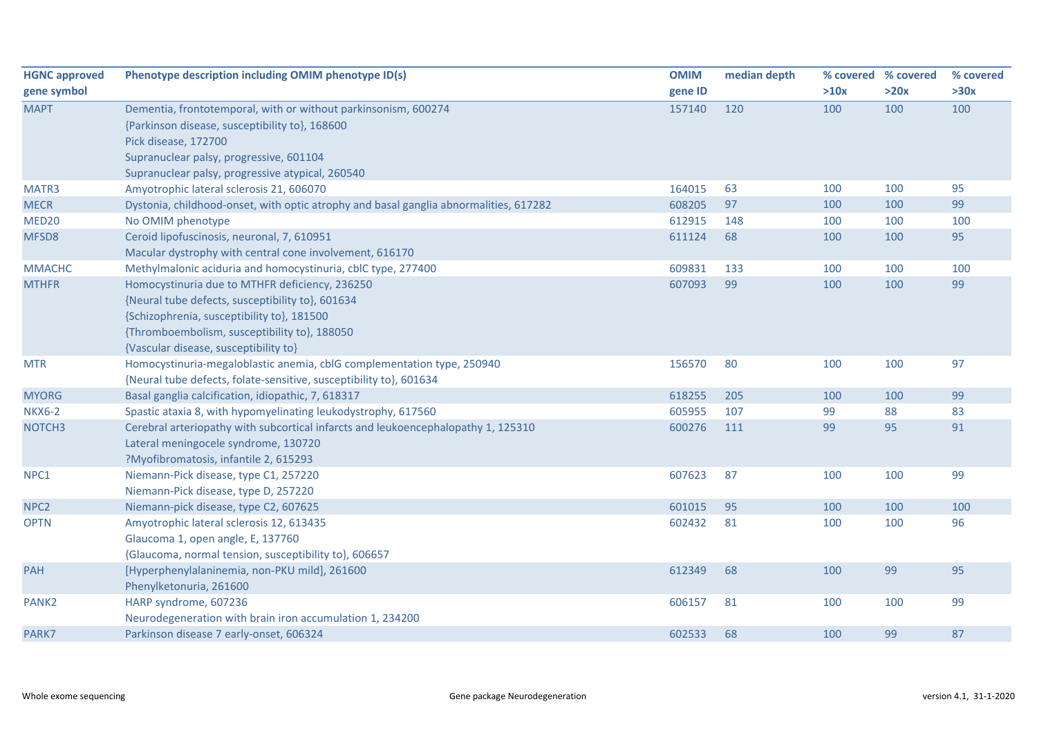| <b>HGNC approved</b> | Phenotype description including OMIM phenotype ID(s)                                  | <b>OMIM</b> | median depth |      | % covered % covered | % covered |
|----------------------|---------------------------------------------------------------------------------------|-------------|--------------|------|---------------------|-----------|
| gene symbol          |                                                                                       | gene ID     |              | >10x | >20x                | >30x      |
| <b>MAPT</b>          | Dementia, frontotemporal, with or without parkinsonism, 600274                        | 157140      | 120          | 100  | 100                 | 100       |
|                      | {Parkinson disease, susceptibility to}, 168600                                        |             |              |      |                     |           |
|                      | Pick disease, 172700                                                                  |             |              |      |                     |           |
|                      | Supranuclear palsy, progressive, 601104                                               |             |              |      |                     |           |
|                      | Supranuclear palsy, progressive atypical, 260540                                      |             |              |      |                     |           |
| MATR3                | Amyotrophic lateral sclerosis 21, 606070                                              | 164015      | 63           | 100  | 100                 | 95        |
| <b>MECR</b>          | Dystonia, childhood-onset, with optic atrophy and basal ganglia abnormalities, 617282 | 608205      | 97           | 100  | 100                 | 99        |
| MED <sub>20</sub>    | No OMIM phenotype                                                                     | 612915      | 148          | 100  | 100                 | 100       |
| MFSD8                | Ceroid lipofuscinosis, neuronal, 7, 610951                                            | 611124      | 68           | 100  | 100                 | 95        |
|                      | Macular dystrophy with central cone involvement, 616170                               |             |              |      |                     |           |
| <b>MMACHC</b>        | Methylmalonic aciduria and homocystinuria, cblC type, 277400                          | 609831      | 133          | 100  | 100                 | 100       |
| <b>MTHFR</b>         | Homocystinuria due to MTHFR deficiency, 236250                                        | 607093      | 99           | 100  | 100                 | 99        |
|                      | {Neural tube defects, susceptibility to}, 601634                                      |             |              |      |                     |           |
|                      | {Schizophrenia, susceptibility to}, 181500                                            |             |              |      |                     |           |
|                      | {Thromboembolism, susceptibility to}, 188050                                          |             |              |      |                     |           |
|                      | {Vascular disease, susceptibility to}                                                 |             |              |      |                     |           |
| <b>MTR</b>           | Homocystinuria-megaloblastic anemia, cblG complementation type, 250940                | 156570      | 80           | 100  | 100                 | 97        |
|                      | {Neural tube defects, folate-sensitive, susceptibility to}, 601634                    |             |              |      |                     |           |
| <b>MYORG</b>         | Basal ganglia calcification, idiopathic, 7, 618317                                    | 618255      | 205          | 100  | 100                 | 99        |
| <b>NKX6-2</b>        | Spastic ataxia 8, with hypomyelinating leukodystrophy, 617560                         | 605955      | 107          | 99   | 88                  | 83        |
| NOTCH <sub>3</sub>   | Cerebral arteriopathy with subcortical infarcts and leukoencephalopathy 1, 125310     | 600276      | 111          | 99   | 95                  | 91        |
|                      | Lateral meningocele syndrome, 130720                                                  |             |              |      |                     |           |
|                      | ?Myofibromatosis, infantile 2, 615293                                                 |             |              |      |                     |           |
| NPC1                 | Niemann-Pick disease, type C1, 257220                                                 | 607623      | 87           | 100  | 100                 | 99        |
|                      | Niemann-Pick disease, type D, 257220                                                  |             |              |      |                     |           |
| NPC <sub>2</sub>     | Niemann-pick disease, type C2, 607625                                                 | 601015      | 95           | 100  | 100                 | 100       |
| <b>OPTN</b>          | Amyotrophic lateral sclerosis 12, 613435                                              | 602432      | 81           | 100  | 100                 | 96        |
|                      | Glaucoma 1, open angle, E, 137760                                                     |             |              |      |                     |           |
|                      | {Glaucoma, normal tension, susceptibility to}, 606657                                 |             |              |      |                     |           |
| PAH                  | [Hyperphenylalaninemia, non-PKU mild], 261600                                         | 612349      | 68           | 100  | 99                  | 95        |
|                      | Phenylketonuria, 261600                                                               |             |              |      |                     |           |
| PANK <sub>2</sub>    | HARP syndrome, 607236                                                                 | 606157      | 81           | 100  | 100                 | 99        |
|                      | Neurodegeneration with brain iron accumulation 1, 234200                              |             |              |      |                     |           |
| PARK7                | Parkinson disease 7 early-onset, 606324                                               | 602533      | 68           | 100  | 99                  | 87        |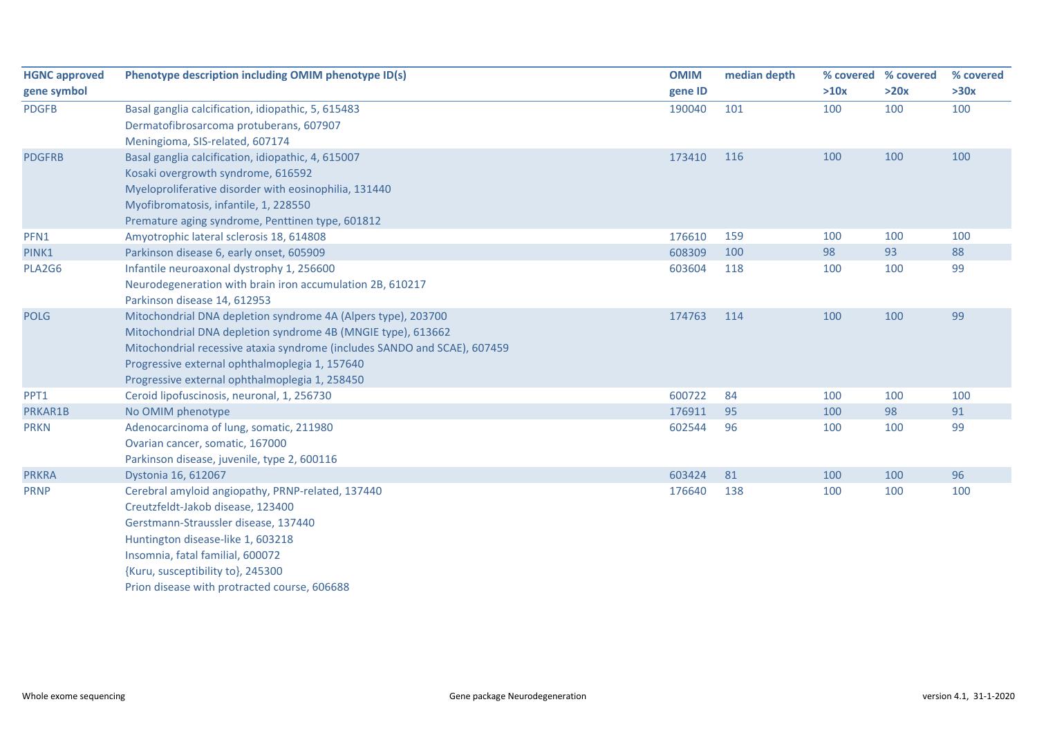| <b>HGNC approved</b> | Phenotype description including OMIM phenotype ID(s)                      | <b>OMIM</b> | median depth |      | % covered % covered | % covered |
|----------------------|---------------------------------------------------------------------------|-------------|--------------|------|---------------------|-----------|
| gene symbol          |                                                                           | gene ID     |              | >10x | >20x                | >30x      |
| <b>PDGFB</b>         | Basal ganglia calcification, idiopathic, 5, 615483                        | 190040      | 101          | 100  | 100                 | 100       |
|                      | Dermatofibrosarcoma protuberans, 607907                                   |             |              |      |                     |           |
|                      | Meningioma, SIS-related, 607174                                           |             |              |      |                     |           |
| <b>PDGFRB</b>        | Basal ganglia calcification, idiopathic, 4, 615007                        | 173410      | 116          | 100  | 100                 | 100       |
|                      | Kosaki overgrowth syndrome, 616592                                        |             |              |      |                     |           |
|                      | Myeloproliferative disorder with eosinophilia, 131440                     |             |              |      |                     |           |
|                      | Myofibromatosis, infantile, 1, 228550                                     |             |              |      |                     |           |
|                      | Premature aging syndrome, Penttinen type, 601812                          |             |              |      |                     |           |
| PFN1                 | Amyotrophic lateral sclerosis 18, 614808                                  | 176610      | 159          | 100  | 100                 | 100       |
| PINK1                | Parkinson disease 6, early onset, 605909                                  | 608309      | 100          | 98   | 93                  | 88        |
| PLA2G6               | Infantile neuroaxonal dystrophy 1, 256600                                 | 603604      | 118          | 100  | 100                 | 99        |
|                      | Neurodegeneration with brain iron accumulation 2B, 610217                 |             |              |      |                     |           |
|                      | Parkinson disease 14, 612953                                              |             |              |      |                     |           |
| <b>POLG</b>          | Mitochondrial DNA depletion syndrome 4A (Alpers type), 203700             | 174763      | 114          | 100  | 100                 | 99        |
|                      | Mitochondrial DNA depletion syndrome 4B (MNGIE type), 613662              |             |              |      |                     |           |
|                      | Mitochondrial recessive ataxia syndrome (includes SANDO and SCAE), 607459 |             |              |      |                     |           |
|                      | Progressive external ophthalmoplegia 1, 157640                            |             |              |      |                     |           |
|                      | Progressive external ophthalmoplegia 1, 258450                            |             |              |      |                     |           |
| PPT1                 | Ceroid lipofuscinosis, neuronal, 1, 256730                                | 600722      | 84           | 100  | 100                 | 100       |
| PRKAR1B              | No OMIM phenotype                                                         | 176911      | 95           | 100  | 98                  | 91        |
| <b>PRKN</b>          | Adenocarcinoma of lung, somatic, 211980                                   | 602544      | 96           | 100  | 100                 | 99        |
|                      | Ovarian cancer, somatic, 167000                                           |             |              |      |                     |           |
|                      | Parkinson disease, juvenile, type 2, 600116                               |             |              |      |                     |           |
| <b>PRKRA</b>         | Dystonia 16, 612067                                                       | 603424      | 81           | 100  | 100                 | 96        |
| <b>PRNP</b>          | Cerebral amyloid angiopathy, PRNP-related, 137440                         | 176640      | 138          | 100  | 100                 | 100       |
|                      | Creutzfeldt-Jakob disease, 123400                                         |             |              |      |                     |           |
|                      | Gerstmann-Straussler disease, 137440                                      |             |              |      |                     |           |
|                      | Huntington disease-like 1, 603218                                         |             |              |      |                     |           |
|                      | Insomnia, fatal familial, 600072                                          |             |              |      |                     |           |
|                      | {Kuru, susceptibility to}, 245300                                         |             |              |      |                     |           |
|                      | Prion disease with protracted course, 606688                              |             |              |      |                     |           |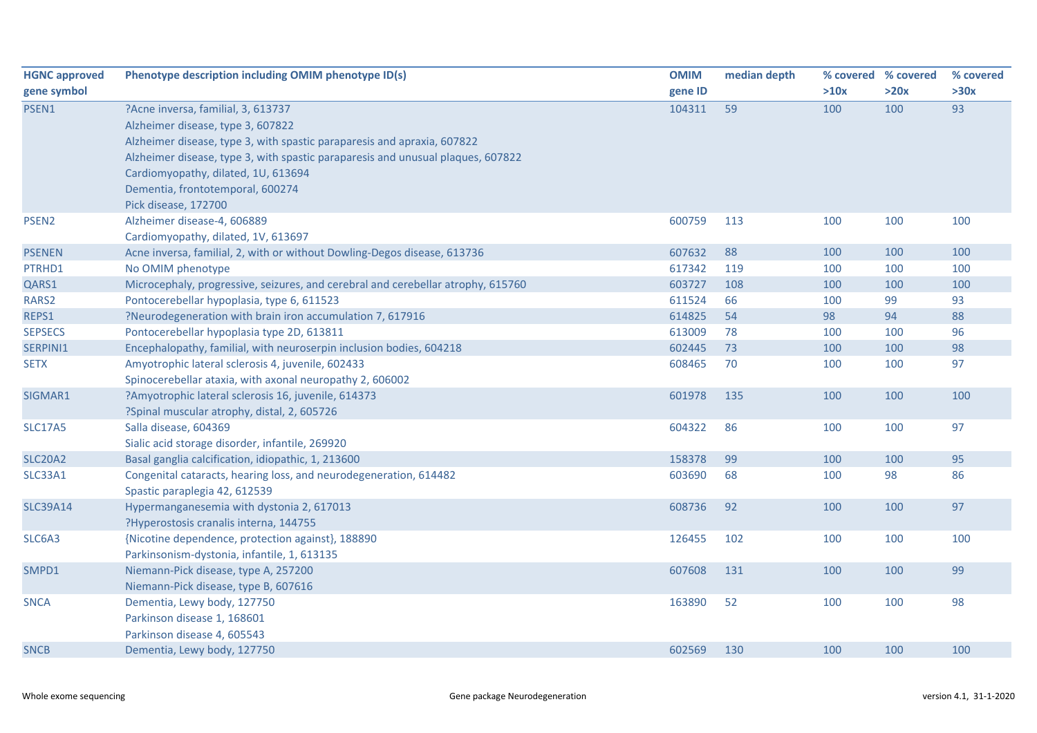| <b>HGNC approved</b> | Phenotype description including OMIM phenotype ID(s)                             | <b>OMIM</b> | median depth | % covered % covered |      | % covered |
|----------------------|----------------------------------------------------------------------------------|-------------|--------------|---------------------|------|-----------|
| gene symbol          |                                                                                  | gene ID     |              | >10x                | >20x | >30x      |
| PSEN1                | ?Acne inversa, familial, 3, 613737                                               | 104311      | 59           | 100                 | 100  | 93        |
|                      | Alzheimer disease, type 3, 607822                                                |             |              |                     |      |           |
|                      | Alzheimer disease, type 3, with spastic paraparesis and apraxia, 607822          |             |              |                     |      |           |
|                      | Alzheimer disease, type 3, with spastic paraparesis and unusual plaques, 607822  |             |              |                     |      |           |
|                      | Cardiomyopathy, dilated, 1U, 613694                                              |             |              |                     |      |           |
|                      | Dementia, frontotemporal, 600274                                                 |             |              |                     |      |           |
|                      | Pick disease, 172700                                                             |             |              |                     |      |           |
| PSEN <sub>2</sub>    | Alzheimer disease-4, 606889                                                      | 600759      | 113          | 100                 | 100  | 100       |
|                      | Cardiomyopathy, dilated, 1V, 613697                                              |             |              |                     |      |           |
| <b>PSENEN</b>        | Acne inversa, familial, 2, with or without Dowling-Degos disease, 613736         | 607632      | 88           | 100                 | 100  | 100       |
| PTRHD1               | No OMIM phenotype                                                                | 617342      | 119          | 100                 | 100  | 100       |
| QARS1                | Microcephaly, progressive, seizures, and cerebral and cerebellar atrophy, 615760 | 603727      | 108          | 100                 | 100  | 100       |
| RARS2                | Pontocerebellar hypoplasia, type 6, 611523                                       | 611524      | 66           | 100                 | 99   | 93        |
| REPS1                | ?Neurodegeneration with brain iron accumulation 7, 617916                        | 614825      | 54           | 98                  | 94   | 88        |
| <b>SEPSECS</b>       | Pontocerebellar hypoplasia type 2D, 613811                                       | 613009      | 78           | 100                 | 100  | 96        |
| SERPINI1             | Encephalopathy, familial, with neuroserpin inclusion bodies, 604218              | 602445      | 73           | 100                 | 100  | 98        |
| <b>SETX</b>          | Amyotrophic lateral sclerosis 4, juvenile, 602433                                | 608465      | 70           | 100                 | 100  | 97        |
|                      | Spinocerebellar ataxia, with axonal neuropathy 2, 606002                         |             |              |                     |      |           |
| SIGMAR1              | ?Amyotrophic lateral sclerosis 16, juvenile, 614373                              | 601978      | 135          | 100                 | 100  | 100       |
|                      | ?Spinal muscular atrophy, distal, 2, 605726                                      |             |              |                     |      |           |
| <b>SLC17A5</b>       | Salla disease, 604369                                                            | 604322      | 86           | 100                 | 100  | 97        |
|                      | Sialic acid storage disorder, infantile, 269920                                  |             |              |                     |      |           |
| <b>SLC20A2</b>       | Basal ganglia calcification, idiopathic, 1, 213600                               | 158378      | 99           | 100                 | 100  | 95        |
| SLC33A1              | Congenital cataracts, hearing loss, and neurodegeneration, 614482                | 603690      | 68           | 100                 | 98   | 86        |
|                      | Spastic paraplegia 42, 612539                                                    |             |              |                     |      |           |
| <b>SLC39A14</b>      | Hypermanganesemia with dystonia 2, 617013                                        | 608736      | 92           | 100                 | 100  | 97        |
|                      | ?Hyperostosis cranalis interna, 144755                                           |             |              |                     |      |           |
| SLC6A3               | {Nicotine dependence, protection against}, 188890                                | 126455      | 102          | 100                 | 100  | 100       |
|                      | Parkinsonism-dystonia, infantile, 1, 613135                                      |             |              |                     |      |           |
| SMPD1                | Niemann-Pick disease, type A, 257200                                             | 607608      | 131          | 100                 | 100  | 99        |
|                      | Niemann-Pick disease, type B, 607616                                             |             |              |                     |      |           |
| <b>SNCA</b>          | Dementia, Lewy body, 127750                                                      | 163890      | 52           | 100                 | 100  | 98        |
|                      | Parkinson disease 1, 168601                                                      |             |              |                     |      |           |
|                      | Parkinson disease 4, 605543                                                      |             |              |                     |      |           |
| <b>SNCB</b>          | Dementia, Lewy body, 127750                                                      | 602569      | 130          | 100                 | 100  | 100       |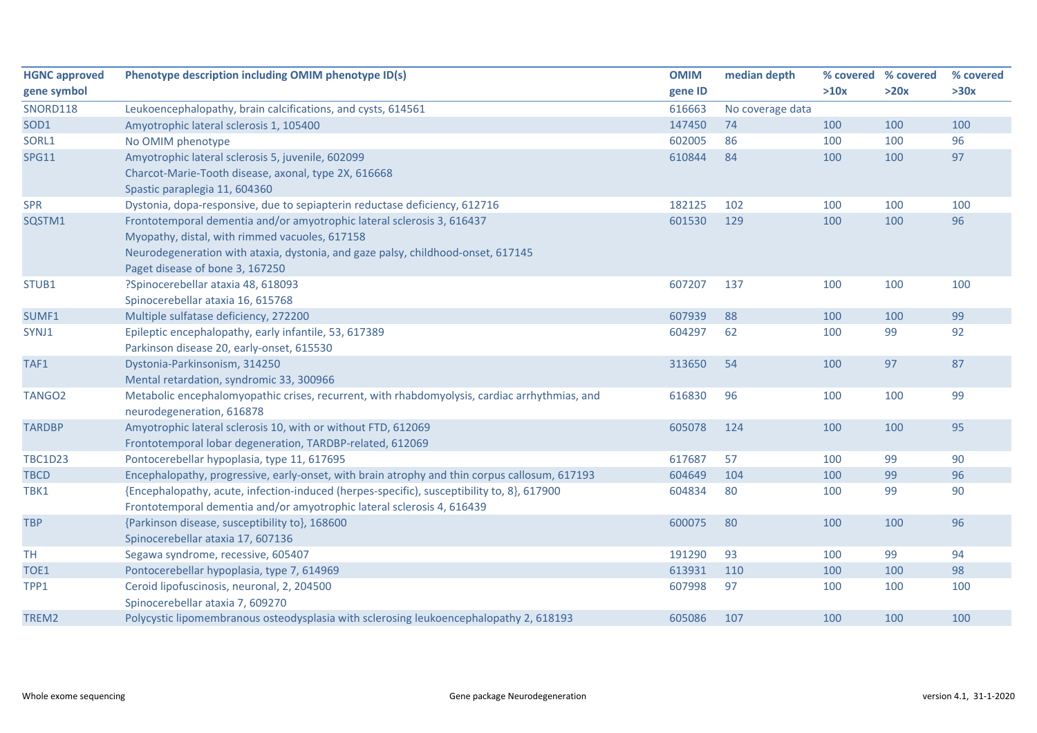| <b>HGNC approved</b> | Phenotype description including OMIM phenotype ID(s)                                          | <b>OMIM</b> | median depth     |      | % covered % covered | % covered |
|----------------------|-----------------------------------------------------------------------------------------------|-------------|------------------|------|---------------------|-----------|
| gene symbol          |                                                                                               | gene ID     |                  | >10x | >20x                | >30x      |
| <b>SNORD118</b>      | Leukoencephalopathy, brain calcifications, and cysts, 614561                                  | 616663      | No coverage data |      |                     |           |
| SOD1                 | Amyotrophic lateral sclerosis 1, 105400                                                       | 147450      | 74               | 100  | 100                 | 100       |
| SORL1                | No OMIM phenotype                                                                             | 602005      | 86               | 100  | 100                 | 96        |
| <b>SPG11</b>         | Amyotrophic lateral sclerosis 5, juvenile, 602099                                             | 610844      | 84               | 100  | 100                 | 97        |
|                      | Charcot-Marie-Tooth disease, axonal, type 2X, 616668                                          |             |                  |      |                     |           |
|                      | Spastic paraplegia 11, 604360                                                                 |             |                  |      |                     |           |
| <b>SPR</b>           | Dystonia, dopa-responsive, due to sepiapterin reductase deficiency, 612716                    | 182125      | 102              | 100  | 100                 | 100       |
| SQSTM1               | Frontotemporal dementia and/or amyotrophic lateral sclerosis 3, 616437                        | 601530      | 129              | 100  | 100                 | 96        |
|                      | Myopathy, distal, with rimmed vacuoles, 617158                                                |             |                  |      |                     |           |
|                      | Neurodegeneration with ataxia, dystonia, and gaze palsy, childhood-onset, 617145              |             |                  |      |                     |           |
|                      | Paget disease of bone 3, 167250                                                               |             |                  |      |                     |           |
| STUB1                | ?Spinocerebellar ataxia 48, 618093                                                            | 607207      | 137              | 100  | 100                 | 100       |
|                      | Spinocerebellar ataxia 16, 615768                                                             |             |                  |      |                     |           |
| SUMF1                | Multiple sulfatase deficiency, 272200                                                         | 607939      | 88               | 100  | 100                 | 99        |
| SYNJ1                | Epileptic encephalopathy, early infantile, 53, 617389                                         | 604297      | 62               | 100  | 99                  | 92        |
|                      | Parkinson disease 20, early-onset, 615530                                                     |             |                  |      |                     |           |
| TAF1                 | Dystonia-Parkinsonism, 314250                                                                 | 313650      | 54               | 100  | 97                  | 87        |
|                      | Mental retardation, syndromic 33, 300966                                                      |             |                  |      |                     |           |
| TANGO <sub>2</sub>   | Metabolic encephalomyopathic crises, recurrent, with rhabdomyolysis, cardiac arrhythmias, and | 616830      | 96               | 100  | 100                 | 99        |
|                      | neurodegeneration, 616878                                                                     |             |                  |      |                     |           |
| <b>TARDBP</b>        | Amyotrophic lateral sclerosis 10, with or without FTD, 612069                                 | 605078      | 124              | 100  | 100                 | 95        |
|                      | Frontotemporal lobar degeneration, TARDBP-related, 612069                                     |             |                  |      |                     |           |
| <b>TBC1D23</b>       | Pontocerebellar hypoplasia, type 11, 617695                                                   | 617687      | 57               | 100  | 99                  | 90        |
| <b>TBCD</b>          | Encephalopathy, progressive, early-onset, with brain atrophy and thin corpus callosum, 617193 | 604649      | 104              | 100  | 99                  | 96        |
| TBK1                 | {Encephalopathy, acute, infection-induced (herpes-specific), susceptibility to, 8}, 617900    | 604834      | 80               | 100  | 99                  | 90        |
|                      | Frontotemporal dementia and/or amyotrophic lateral sclerosis 4, 616439                        |             |                  |      |                     |           |
| <b>TBP</b>           | {Parkinson disease, susceptibility to}, 168600                                                | 600075      | 80               | 100  | 100                 | 96        |
|                      | Spinocerebellar ataxia 17, 607136                                                             |             |                  |      |                     |           |
| TH.                  | Segawa syndrome, recessive, 605407                                                            | 191290      | 93               | 100  | 99                  | 94        |
| TOE1                 | Pontocerebellar hypoplasia, type 7, 614969                                                    | 613931      | 110              | 100  | 100                 | 98        |
| TPP1                 | Ceroid lipofuscinosis, neuronal, 2, 204500                                                    | 607998      | 97               | 100  | 100                 | 100       |
|                      | Spinocerebellar ataxia 7, 609270                                                              |             |                  |      |                     |           |
| TREM2                | Polycystic lipomembranous osteodysplasia with sclerosing leukoencephalopathy 2, 618193        | 605086      | 107              | 100  | 100                 | 100       |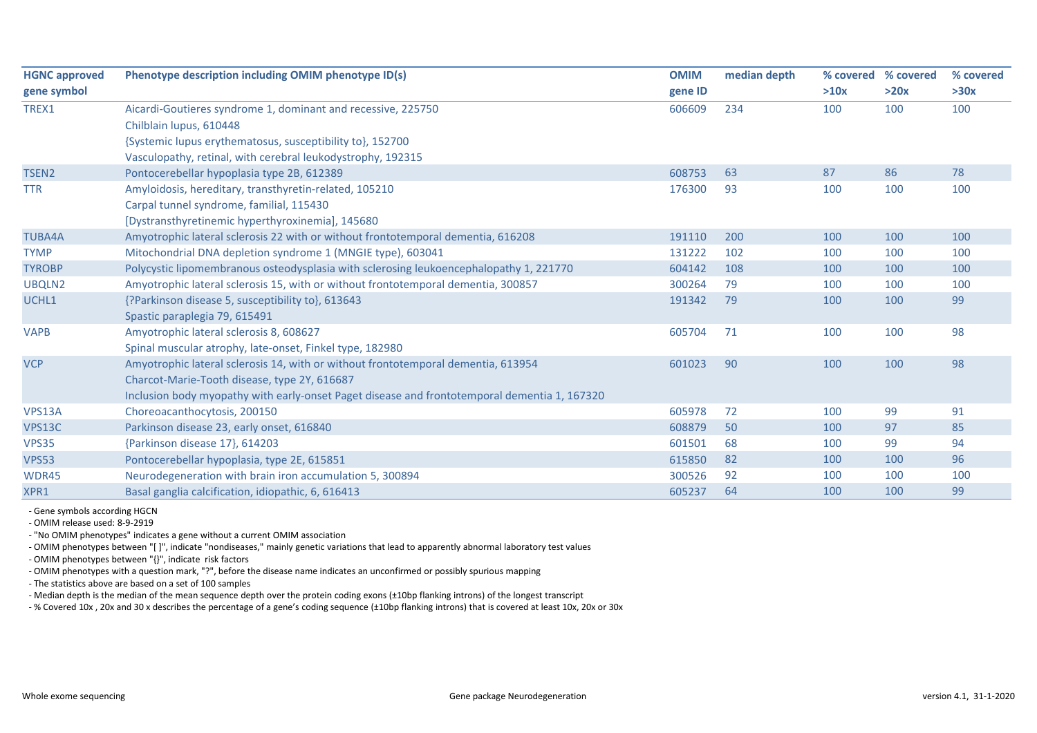| <b>HGNC approved</b> | Phenotype description including OMIM phenotype ID(s)                                         | <b>OMIM</b> | median depth | % covered % covered |      | % covered |
|----------------------|----------------------------------------------------------------------------------------------|-------------|--------------|---------------------|------|-----------|
| gene symbol          |                                                                                              | gene ID     |              | >10x                | >20x | >30x      |
| TREX1                | Aicardi-Goutieres syndrome 1, dominant and recessive, 225750                                 | 606609      | 234          | 100                 | 100  | 100       |
|                      | Chilblain lupus, 610448                                                                      |             |              |                     |      |           |
|                      | {Systemic lupus erythematosus, susceptibility to}, 152700                                    |             |              |                     |      |           |
|                      | Vasculopathy, retinal, with cerebral leukodystrophy, 192315                                  |             |              |                     |      |           |
| TSEN <sub>2</sub>    | Pontocerebellar hypoplasia type 2B, 612389                                                   | 608753      | 63           | 87                  | 86   | 78        |
| <b>TTR</b>           | Amyloidosis, hereditary, transthyretin-related, 105210                                       | 176300      | 93           | 100                 | 100  | 100       |
|                      | Carpal tunnel syndrome, familial, 115430                                                     |             |              |                     |      |           |
|                      | [Dystransthyretinemic hyperthyroxinemia], 145680                                             |             |              |                     |      |           |
| <b>TUBA4A</b>        | Amyotrophic lateral sclerosis 22 with or without frontotemporal dementia, 616208             | 191110      | 200          | 100                 | 100  | 100       |
| <b>TYMP</b>          | Mitochondrial DNA depletion syndrome 1 (MNGIE type), 603041                                  | 131222      | 102          | 100                 | 100  | 100       |
| <b>TYROBP</b>        | Polycystic lipomembranous osteodysplasia with sclerosing leukoencephalopathy 1, 221770       | 604142      | 108          | 100                 | 100  | 100       |
| UBQLN2               | Amyotrophic lateral sclerosis 15, with or without frontotemporal dementia, 300857            | 300264      | 79           | 100                 | 100  | 100       |
| UCHL1                | {?Parkinson disease 5, susceptibility to}, 613643                                            | 191342      | 79           | 100                 | 100  | 99        |
|                      | Spastic paraplegia 79, 615491                                                                |             |              |                     |      |           |
| <b>VAPB</b>          | Amyotrophic lateral sclerosis 8, 608627                                                      | 605704      | 71           | 100                 | 100  | 98        |
|                      | Spinal muscular atrophy, late-onset, Finkel type, 182980                                     |             |              |                     |      |           |
| <b>VCP</b>           | Amyotrophic lateral sclerosis 14, with or without frontotemporal dementia, 613954            | 601023      | 90           | 100                 | 100  | 98        |
|                      | Charcot-Marie-Tooth disease, type 2Y, 616687                                                 |             |              |                     |      |           |
|                      | Inclusion body myopathy with early-onset Paget disease and frontotemporal dementia 1, 167320 |             |              |                     |      |           |
| VPS13A               | Choreoacanthocytosis, 200150                                                                 | 605978      | 72           | 100                 | 99   | 91        |
| VPS13C               | Parkinson disease 23, early onset, 616840                                                    | 608879      | 50           | 100                 | 97   | 85        |
| <b>VPS35</b>         | {Parkinson disease 17}, 614203                                                               | 601501      | 68           | 100                 | 99   | 94        |
| <b>VPS53</b>         | Pontocerebellar hypoplasia, type 2E, 615851                                                  | 615850      | 82           | 100                 | 100  | 96        |
| WDR45                | Neurodegeneration with brain iron accumulation 5, 300894                                     | 300526      | 92           | 100                 | 100  | 100       |
| XPR1                 | Basal ganglia calcification, idiopathic, 6, 616413                                           | 605237      | 64           | 100                 | 100  | 99        |

- Gene symbols according HGCN

- OMIM release used: 8-9-2919

- "No OMIM phenotypes" indicates a gene without a current OMIM association

- OMIM phenotypes between "[ ]", indicate "nondiseases," mainly genetic variations that lead to apparently abnormal laboratory test values

- OMIM phenotypes between "{}", indicate risk factors

- OMIM phenotypes with a question mark, "?", before the disease name indicates an unconfirmed or possibly spurious mapping

- The statistics above are based on a set of 100 samples

- Median depth is the median of the mean sequence depth over the protein coding exons (±10bp flanking introns) of the longest transcript

- % Covered 10x , 20x and 30 x describes the percentage of a gene's coding sequence (±10bp flanking introns) that is covered at least 10x, 20x or 30x